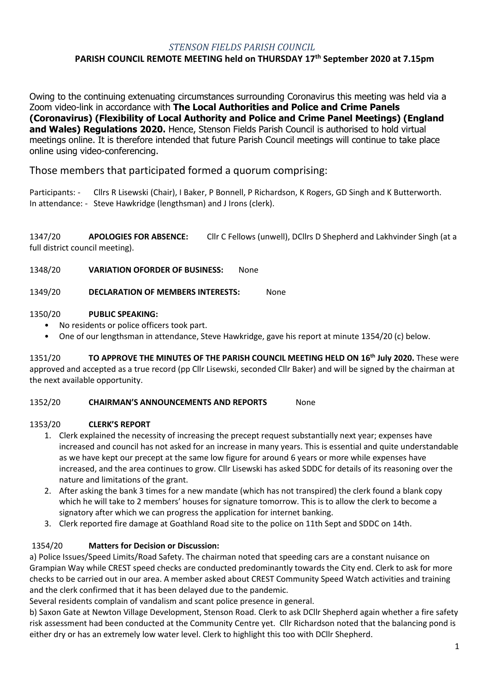### *STENSON FIELDS PARISH COUNCIL*

## **PARISH COUNCIL REMOTE MEETING held on THURSDAY 17 th September 2020 at 7.15pm**

Owing to the continuing extenuating circumstances surrounding Coronavirus this meeting was held via a Zoom video-link in accordance with **The Local Authorities and Police and Crime Panels (Coronavirus) (Flexibility of Local Authority and Police and Crime Panel Meetings) (England and Wales) Regulations 2020.** Hence, Stenson Fields Parish Council is authorised to hold virtual meetings online. It is therefore intended that future Parish Council meetings will continue to take place online using video-conferencing.

Those members that participated formed a quorum comprising:

Participants: - Cllrs R Lisewski (Chair), I Baker, P Bonnell, P Richardson, K Rogers, GD Singh and K Butterworth. In attendance: - Steve Hawkridge (lengthsman) and J Irons (clerk).

1347/20 **APOLOGIES FOR ABSENCE:** Cllr C Fellows (unwell), DCllrs D Shepherd and Lakhvinder Singh (at a full district council meeting).

1348/20 **VARIATION OFORDER OF BUSINESS:** None

1349/20 **DECLARATION OF MEMBERS INTERESTS:** None

#### 1350/20 **PUBLIC SPEAKING:**

- No residents or police officers took part.
- One of our lengthsman in attendance, Steve Hawkridge, gave his report at minute 1354/20 (c) below.

1351/20 **TO APPROVE THE MINUTES OF THE PARISH COUNCIL MEETING HELD ON 16 th July 2020.** These were approved and accepted as a true record (pp Cllr Lisewski, seconded Cllr Baker) and will be signed by the chairman at the next available opportunity.

#### 1352/20 **CHAIRMAN'S ANNOUNCEMENTS AND REPORTS** None

#### 1353/20 **CLERK'S REPORT**

- 1. Clerk explained the necessity of increasing the precept request substantially next year; expenses have increased and council has not asked for an increase in many years. This is essential and quite understandable as we have kept our precept at the same low figure for around 6 years or more while expenses have increased, and the area continues to grow. Cllr Lisewski has asked SDDC for details of its reasoning over the nature and limitations of the grant.
- 2. After asking the bank 3 times for a new mandate (which has not transpired) the clerk found a blank copy which he will take to 2 members' houses for signature tomorrow. This is to allow the clerk to become a signatory after which we can progress the application for internet banking.
- 3. Clerk reported fire damage at Goathland Road site to the police on 11th Sept and SDDC on 14th.

### 1354/20 **Matters for Decision or Discussion:**

a) Police Issues/Speed Limits/Road Safety. The chairman noted that speeding cars are a constant nuisance on Grampian Way while CREST speed checks are conducted predominantly towards the City end. Clerk to ask for more checks to be carried out in our area. A member asked about CREST Community Speed Watch activities and training and the clerk confirmed that it has been delayed due to the pandemic.

Several residents complain of vandalism and scant police presence in general.

b) Saxon Gate at Newton Village Development, Stenson Road. Clerk to ask DCllr Shepherd again whether a fire safety risk assessment had been conducted at the Community Centre yet. Cllr Richardson noted that the balancing pond is either dry or has an extremely low water level. Clerk to highlight this too with DCllr Shepherd.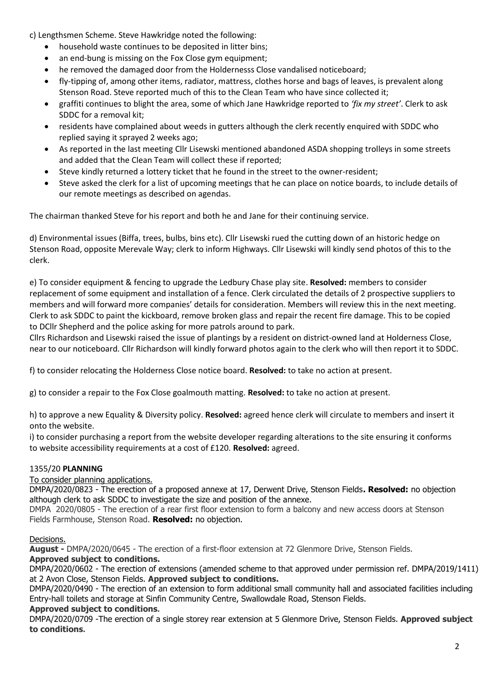c) Lengthsmen Scheme. Steve Hawkridge noted the following:

- household waste continues to be deposited in litter bins;
- an end-bung is missing on the Fox Close gym equipment;
- he removed the damaged door from the Holdernesss Close vandalised noticeboard;
- fly-tipping of, among other items, radiator, mattress, clothes horse and bags of leaves, is prevalent along Stenson Road. Steve reported much of this to the Clean Team who have since collected it;
- graffiti continues to blight the area, some of which Jane Hawkridge reported to *'fix my street'*. Clerk to ask SDDC for a removal kit;
- residents have complained about weeds in gutters although the clerk recently enquired with SDDC who replied saying it sprayed 2 weeks ago;
- As reported in the last meeting Cllr Lisewski mentioned abandoned ASDA shopping trolleys in some streets and added that the Clean Team will collect these if reported;
- Steve kindly returned a lottery ticket that he found in the street to the owner-resident;
- Steve asked the clerk for a list of upcoming meetings that he can place on notice boards, to include details of our remote meetings as described on agendas.

The chairman thanked Steve for his report and both he and Jane for their continuing service.

d) Environmental issues (Biffa, trees, bulbs, bins etc). Cllr Lisewski rued the cutting down of an historic hedge on Stenson Road, opposite Merevale Way; clerk to inform Highways. Cllr Lisewski will kindly send photos of this to the clerk.

e) To consider equipment & fencing to upgrade the Ledbury Chase play site. **Resolved:** members to consider replacement of some equipment and installation of a fence. Clerk circulated the details of 2 prospective suppliers to members and will forward more companies' details for consideration. Members will review this in the next meeting. Clerk to ask SDDC to paint the kickboard, remove broken glass and repair the recent fire damage. This to be copied to DCllr Shepherd and the police asking for more patrols around to park.

Cllrs Richardson and Lisewski raised the issue of plantings by a resident on district-owned land at Holderness Close, near to our noticeboard. Cllr Richardson will kindly forward photos again to the clerk who will then report it to SDDC.

f) to consider relocating the Holderness Close notice board. **Resolved:** to take no action at present.

g) to consider a repair to the Fox Close goalmouth matting. **Resolved:** to take no action at present.

h) to approve a new Equality & Diversity policy. **Resolved:** agreed hence clerk will circulate to members and insert it onto the website.

i) to consider purchasing a report from the website developer regarding alterations to the site ensuring it conforms to website accessibility requirements at a cost of £120. **Resolved:** agreed.

### 1355/20 **PLANNING**

### To consider planning applications.

DMPA/2020/0823 - The erection of a proposed annexe at 17, Derwent Drive, Stenson Fields**. Resolved:** no objection although clerk to ask SDDC to investigate the size and position of the annexe.

DMPA 2020/0805 - The erection of a rear first floor extension to form a balcony and new access doors at Stenson Fields Farmhouse, Stenson Road. **Resolved:** no objection.

### Decisions.

**August -** DMPA/2020/0645 - The erection of a first-floor extension at 72 Glenmore Drive, Stenson Fields.

# **Approved subject to conditions.**

DMPA/2020/0602 - The erection of extensions (amended scheme to that approved under permission ref. DMPA/2019/1411) at 2 Avon Close, Stenson Fields. **Approved subject to conditions.**

DMPA/2020/0490 - The erection of an extension to form additional small community hall and associated facilities including Entry-hall toilets and storage at Sinfin Community Centre, Swallowdale Road, Stenson Fields.

### **Approved subject to conditions.**

DMPA/2020/0709 -The erection of a single storey rear extension at 5 Glenmore Drive, Stenson Fields. **Approved subject to conditions.**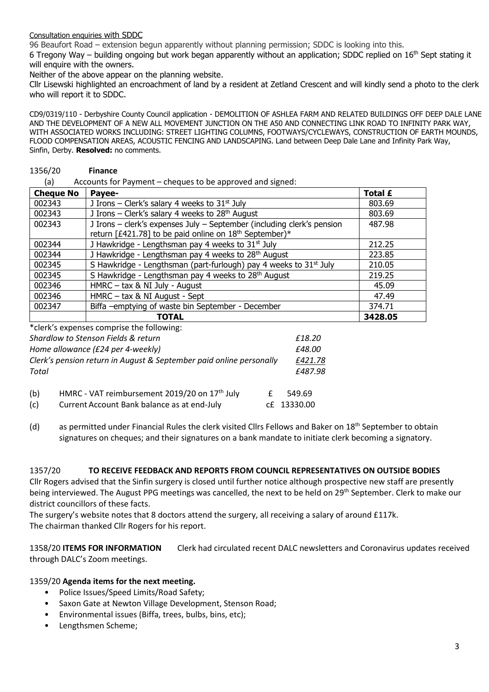#### Consultation enquiries with SDDC

96 Beaufort Road – extension begun apparently without planning permission; SDDC is looking into this.

6 Tregony Way – building ongoing but work began apparently without an application; SDDC replied on  $16<sup>th</sup>$  Sept stating it will enquire with the owners.

Neither of the above appear on the planning website.

Cllr Lisewski highlighted an encroachment of land by a resident at Zetland Crescent and will kindly send a photo to the clerk who will report it to SDDC.

CD9/0319/110 - Derbyshire County Council application - DEMOLITION OF ASHLEA FARM AND RELATED BUILDINGS OFF DEEP DALE LANE AND THE DEVELOPMENT OF A NEW ALL MOVEMENT JUNCTION ON THE A50 AND CONNECTING LINK ROAD TO INFINITY PARK WAY, WITH ASSOCIATED WORKS INCLUDING: STREET LIGHTING COLUMNS, FOOTWAYS/CYCLEWAYS, CONSTRUCTION OF EARTH MOUNDS, FLOOD COMPENSATION AREAS, ACOUSTIC FENCING AND LANDSCAPING. Land between Deep Dale Lane and Infinity Park Way, Sinfin, Derby. **Resolved:** no comments.

#### 1356/20 **Finance**

(a) Accounts for Payment – cheques to be approved and signed:

| <b>Cheque No</b> | Payee-                                                                                                                                       | <b>Total £</b> |
|------------------|----------------------------------------------------------------------------------------------------------------------------------------------|----------------|
| 002343           | J Irons – Clerk's salary 4 weeks to $31st$ July                                                                                              | 803.69         |
| 002343           | J Irons - Clerk's salary 4 weeks to 28 <sup>th</sup> August                                                                                  | 803.69         |
| 002343           | J Irons - clerk's expenses July - September (including clerk's pension<br>return [£421.78] to be paid online on 18 <sup>th</sup> September)* | 487.98         |
| 002344           | J Hawkridge - Lengthsman pay 4 weeks to $31st$ July                                                                                          | 212.25         |
| 002344           | J Hawkridge - Lengthsman pay 4 weeks to 28 <sup>th</sup> August                                                                              | 223.85         |
| 002345           | S Hawkridge - Lengthsman (part-furlough) pay 4 weeks to 31 <sup>st</sup> July                                                                | 210.05         |
| 002345           | S Hawkridge - Lengthsman pay 4 weeks to 28 <sup>th</sup> August                                                                              | 219.25         |
| 002346           | HMRC - tax & NI July - August                                                                                                                | 45.09          |
| 002346           | HMRC - tax & NI August - Sept                                                                                                                | 47.49          |
| 002347           | Biffa -emptying of waste bin September - December                                                                                            | 374.71         |
|                  | <b>TOTAL</b>                                                                                                                                 | 3428.05        |

\*clerk's expenses comprise the following:

| Shardlow to Stenson Fields & return<br>Home allowance (£24 per 4-weekly)<br>Clerk's pension return in August & September paid online personally<br>Total |                                                                                                          | £18.20<br>£48.00<br>£421.78<br>£487.98 |  |
|----------------------------------------------------------------------------------------------------------------------------------------------------------|----------------------------------------------------------------------------------------------------------|----------------------------------------|--|
| (b)<br>(c)                                                                                                                                               | HMRC - VAT reimbursement 2019/20 on 17 <sup>th</sup> July<br>Current Account Bank balance as at end-July | 549.69<br>cf 13330.00                  |  |

(d) as permitted under Financial Rules the clerk visited Cllrs Fellows and Baker on 18<sup>th</sup> September to obtain signatures on cheques; and their signatures on a bank mandate to initiate clerk becoming a signatory.

#### 1357/20 **TO RECEIVE FEEDBACK AND REPORTS FROM COUNCIL REPRESENTATIVES ON OUTSIDE BODIES**

Cllr Rogers advised that the Sinfin surgery is closed until further notice although prospective new staff are presently being interviewed. The August PPG meetings was cancelled, the next to be held on 29<sup>th</sup> September. Clerk to make our district councillors of these facts.

The surgery's website notes that 8 doctors attend the surgery, all receiving a salary of around £117k. The chairman thanked Cllr Rogers for his report.

1358/20 **ITEMS FOR INFORMATION** Clerk had circulated recent DALC newsletters and Coronavirus updates received through DALC's Zoom meetings.

### 1359/20 **Agenda items for the next meeting.**

- Police Issues/Speed Limits/Road Safety;
- Saxon Gate at Newton Village Development, Stenson Road;
- Environmental issues (Biffa, trees, bulbs, bins, etc);
- Lengthsmen Scheme;